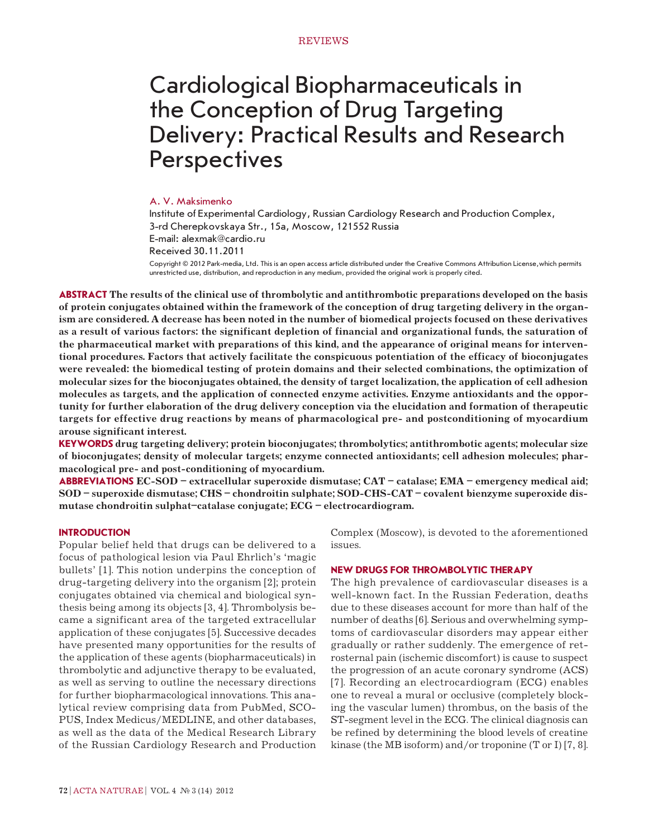# Cardiological Biopharmaceuticals in the Conception of Drug Targeting Delivery: Practical Results and Research **Perspectives**

#### A. V. Maksimenko

Institute of Experimental Cardiology, Russian Cardiology Research and Production Complex, 3-rd Cherepkovskaya Str., 15а, Moscow, 121552 Russia E-mail: alexmak@cardio.ru Received 30.11.2011 Copyright © 2012 Park-media, Ltd. This is an open access article distributed under the Creative Commons Attribution License,which permits unrestricted use, distribution, and reproduction in any medium, provided the original work is properly cited.

**ABSTRACT The results of the clinical use of thrombolytic and antithrombotic preparations developed on the basis of protein conjugates obtained within the framework of the conception of drug targeting delivery in the organism are considered. A decrease has been noted in the number of biomedical projects focused on these derivatives as a result of various factors: the significant depletion of financial and organizational funds, the saturation of the pharmaceutical market with preparations of this kind, and the appearance of original means for interventional procedures. Factors that actively facilitate the conspicuous potentiation of the efficacy of bioconjugates were revealed: the biomedical testing of protein domains and their selected combinations, the optimization of molecular sizes for the bioconjugates obtained, the density of target localization, the application of cell adhesion molecules as targets, and the application of connected enzyme activities. Enzyme antioxidants and the opportunity for further elaboration of the drug delivery conception via the elucidation and formation of therapeutic targets for effective drug reactions by means of pharmacological pre- and postconditioning of myocardium arouse significant interest.**

**KEYWORDS drug targeting delivery; protein bioconjugates; thrombolytics; antithrombotic agents; molecular size of bioconjugates; density of molecular targets; enzyme connected antioxidants; cell adhesion molecules; pharmacological pre- and post-conditioning of myocardium.**

**ABBREVIATIONS EC-SOD – extracellular superoxide dismutase; CAT – catalase; EMA – emergency medical aid; SOD – superoxide dismutase; CHS – chondroitin sulphate; SOD-CHS-CAT – covalent bienzyme superoxide dismutase chondroitin sulphat–catalase conjugate; ECG – electrocardiogram.**

#### **INTRODUCTION**

Popular belief held that drugs can be delivered to a focus of pathological lesion via Paul Ehrlich's 'magic bullets' [1]. This notion underpins the conception of drug-targeting delivery into the organism [2]; protein conjugates obtained via chemical and biological synthesis being among its objects [3, 4]. Thrombolysis became a significant area of the targeted extracellular application of these conjugates [5]. Successive decades have presented many opportunities for the results of the application of these agents (biopharmaceuticals) in thrombolytic and adjunctive therapy to be evaluated, as well as serving to outline the necessary directions for further biopharmacological innovations. This analytical review comprising data from PubMed, SCO-PUS, Index Medicus/MEDLINE, and other databases, as well as the data of the Medical Research Library of the Russian Cardiology Research and Production Complex (Moscow), is devoted to the aforementioned issues.

#### **NEW DRUGS FOR THROMBOLYTIC THERAPY**

The high prevalence of cardiovascular diseases is a well-known fact. In the Russian Federation, deaths due to these diseases account for more than half of the number of deaths [6]. Serious and overwhelming symptoms of cardiovascular disorders may appear either gradually or rather suddenly. The emergence of retrosternal pain (ischemic discomfort) is cause to suspect the progression of an acute coronary syndrome (ACS) [7]. Recording an electrocardiogram (ECG) enables one to reveal a mural or occlusive (completely blocking the vascular lumen) thrombus, on the basis of the ST-segment level in the ECG. The clinical diagnosis can be refined by determining the blood levels of creatine kinase (the MB isoform) and/or troponine (T or I) [7, 8].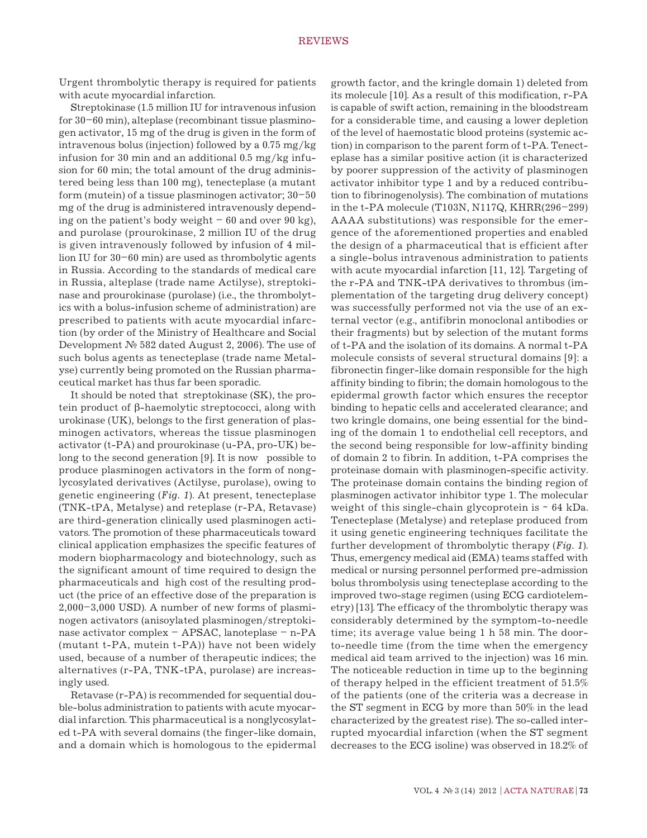Urgent thrombolytic therapy is required for patients with acute myocardial infarction.

Streptokinase (1.5 million IU for intravenous infusion for 30–60 min), alteplase (recombinant tissue plasminogen activator, 15 mg of the drug is given in the form of intravenous bolus (injection) followed by a 0.75 mg/kg infusion for 30 min and an additional 0.5 mg/kg infusion for 60 min; the total amount of the drug administered being less than 100 mg), tenecteplase (a mutant form (mutein) of a tissue plasminogen activator; 30–50 mg of the drug is administered intravenously depending on the patient's body weight  $-60$  and over 90 kg), and purolase (prourokinase, 2 million IU of the drug is given intravenously followed by infusion of 4 million IU for 30–60 min) are used as thrombolytic agents in Russia. According to the standards of medical care in Russia, alteplase (trade name Actilyse), streptokinase and prourokinase (purolase) (i.e., the thrombolytics with a bolus-infusion scheme of administration) are prescribed to patients with acute myocardial infarction (by order of the Ministry of Healthcare and Social Development № 582 dated August 2, 2006). The use of such bolus agents as tenecteplase (trade name Metalyse) currently being promoted on the Russian pharmaceutical market has thus far been sporadic.

It should be noted that streptokinase (SK), the protein product of β-haemolytic streptococci, along with urokinase (UK), belongs to the first generation of plasminogen activators, whereas the tissue plasminogen activator (t-PA) and prourokinase (u-PA, pro-UK) belong to the second generation [9]. It is now possible to produce plasminogen activators in the form of nonglycosylated derivatives (Actilyse, purolase), owing to genetic engineering (*Fig. 1*). At present, tenecteplase (TNK-tPA, Metalyse) and reteplase (r-PA, Retavase) are third-generation clinically used plasminogen activators. The promotion of these pharmaceuticals toward clinical application emphasizes the specific features of modern biopharmacology and biotechnology, such as the significant amount of time required to design the pharmaceuticals and high cost of the resulting product (the price of an effective dose of the preparation is 2,000–3,000 USD). A number of new forms of plasminogen activators (anisoylated plasminogen/streptokinase activator complex – APSAC, lanoteplase – n-PA (mutant t-PA, mutein t-PA)) have not been widely used, because of a number of therapeutic indices; the alternatives (r-PA, TNK-tPA, purolase) are increasingly used.

Retavase (r-PA) is recommended for sequential double-bolus administration to patients with acute myocardial infarction. This pharmaceutical is a nonglycosylated t-PA with several domains (the finger-like domain, and a domain which is homologous to the epidermal growth factor, and the kringle domain 1) deleted from its molecule [10]. As a result of this modification, r-PA is capable of swift action, remaining in the bloodstream for a considerable time, and causing a lower depletion of the level of haemostatic blood proteins (systemic action) in comparison to the parent form of t-PA. Tenecteplase has a similar positive action (it is characterized by poorer suppression of the activity of plasminogen activator inhibitor type 1 and by a reduced contribution to fibrinogenolysis). The combination of mutations in the t-PA molecule (T103N, N117Q, KHRR(296–299) AAAA substitutions) was responsible for the emergence of the aforementioned properties and enabled the design of a pharmaceutical that is efficient after a single-bolus intravenous administration to patients with acute myocardial infarction [11, 12]. Targeting of the r-PA and TNK-tPA derivatives to thrombus (implementation of the targeting drug delivery concept) was successfully performed not via the use of an external vector (e.g., antifibrin monoclonal antibodies or their fragments) but by selection of the mutant forms of t-PA and the isolation of its domains. A normal t-PA molecule consists of several structural domains [9]: a fibronectin finger-like domain responsible for the high affinity binding to fibrin; the domain homologous to the epidermal growth factor which ensures the receptor binding to hepatic cells and accelerated clearance; and two kringle domains, one being essential for the binding of the domain 1 to endothelial cell receptors, and the second being responsible for low-affinity binding of domain 2 to fibrin. In addition, t-PA comprises the proteinase domain with plasminogen-specific activity. The proteinase domain contains the binding region of plasminogen activator inhibitor type 1. The molecular weight of this single-chain glycoprotein is  $\sim 64$  kDa. Tenecteplase (Metalyse) and reteplase produced from it using genetic engineering techniques facilitate the further development of thrombolytic therapy (*Fig. 1*). Thus, emergency medical aid (EMA) teams staffed with medical or nursing personnel performed pre-admission bolus thrombolysis using tenecteplase according to the improved two-stage regimen (using ECG cardiotelemetry) [13]. The efficacy of the thrombolytic therapy was considerably determined by the symptom-to-needle time; its average value being 1 h 58 min. The doorto-needle time (from the time when the emergency medical aid team arrived to the injection) was 16 min. The noticeable reduction in time up to the beginning of therapy helped in the efficient treatment of 51.5% of the patients (one of the criteria was a decrease in the ST segment in ECG by more than 50% in the lead characterized by the greatest rise). The so-called interrupted myocardial infarction (when the ST segment decreases to the ECG isoline) was observed in 18.2% of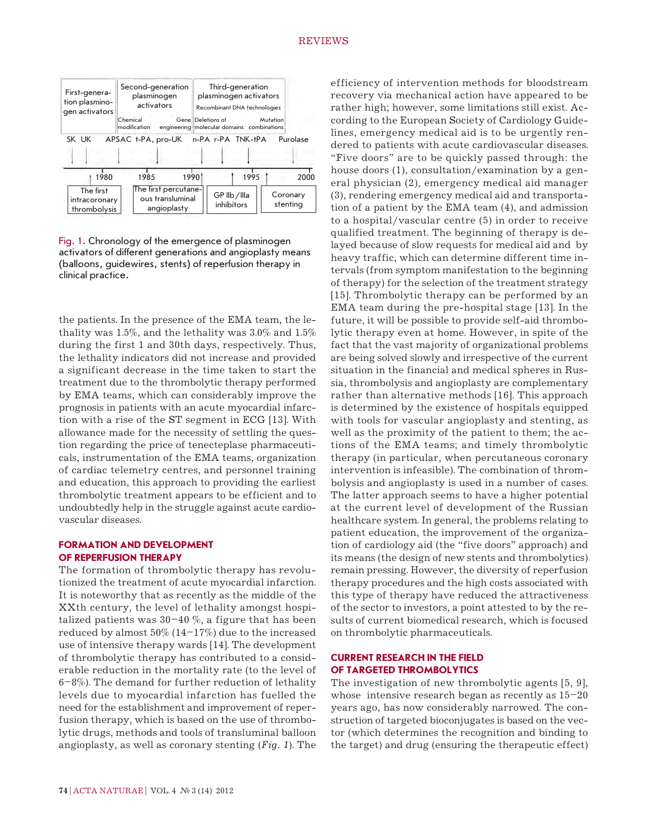| First-genera-<br>tion plasmino-<br>gen activators | Second-generation<br>plasminogen<br>activators<br>Chemical<br>modification | Third-generation<br>plasminogen activators<br>Recombinant DNA technologies<br>Gene Deletions of<br>engineering molecular domains combinations | Mutation             |
|---------------------------------------------------|----------------------------------------------------------------------------|-----------------------------------------------------------------------------------------------------------------------------------------------|----------------------|
| SK UK                                             | APSAC t-PA, pro-UK n-PA r-PA TNK-tPA                                       |                                                                                                                                               | Purolase             |
| 1980                                              | 1985                                                                       | 1990<br>1995                                                                                                                                  | 2000                 |
| The first<br>intracoronary<br>thrombolysis        | The first percutane-<br>ous transluminal<br>angioplasty                    | GP IIb/IIIa<br>inhibitors                                                                                                                     | Coronary<br>stenting |

Fig. 1. Chronology of the emergence of plasminogen activators of different generations and angioplasty means (balloons, guidewires, stents) of reperfusion therapy in clinical practice.

the patients. In the presence of the EMA team, the lethality was 1.5%, and the lethality was 3.0% and 1.5% during the first 1 and 30th days, respectively. Thus, the lethality indicators did not increase and provided a significant decrease in the time taken to start the treatment due to the thrombolytic therapy performed by EMA teams, which can considerably improve the prognosis in patients with an acute myocardial infarction with a rise of the ST segment in ECG [13]. With allowance made for the necessity of settling the question regarding the price of tenecteplase pharmaceuticals, instrumentation of the EMA teams, organization of cardiac telemetry centres, and personnel training and education, this approach to providing the earliest thrombolytic treatment appears to be efficient and to undoubtedly help in the struggle against acute cardiovascular diseases.

# **FORMation AND DEVELOPMENT OF REPERFUSION THERAPY**

The formation of thrombolytic therapy has revolutionized the treatment of acute myocardial infarction. It is noteworthy that as recently as the middle of the XXth century, the level of lethality amongst hospitalized patients was  $30-40\%$ , a figure that has been reduced by almost  $50\%$  (14–17%) due to the increased use of intensive therapy wards [14]. The development of thrombolytic therapy has contributed to a considerable reduction in the mortality rate (to the level of  $6-8\%$ ). The demand for further reduction of lethality levels due to myocardial infarction has fuelled the need for the establishment and improvement of reperfusion therapy, which is based on the use of thrombolytic drugs, methods and tools of transluminal balloon angioplasty, as well as coronary stenting (*Fig. 1*). The

efficiency of intervention methods for bloodstream recovery via mechanical action have appeared to be rather high; however, some limitations still exist. According to the European Society of Cardiology Guidelines, emergency medical aid is to be urgently rendered to patients with acute cardiovascular diseases. "Five doors" are to be quickly passed through: the house doors (1), consultation/examination by a general physician (2), emergency medical aid manager (3), rendering emergency medical aid and transportation of a patient by the EMA team (4), and admission to a hospital/vascular centre (5) in order to receive qualified treatment. The beginning of therapy is delayed because of slow requests for medical aid and by heavy traffic, which can determine different time intervals (from symptom manifestation to the beginning of therapy) for the selection of the treatment strategy [15]. Thrombolytic therapy can be performed by an EMA team during the pre-hospital stage [13]. In the future, it will be possible to provide self-aid thrombolytic therapy even at home. However, in spite of the fact that the vast majority of organizational problems are being solved slowly and irrespective of the current situation in the financial and medical spheres in Russia, thrombolysis and angioplasty are complementary rather than alternative methods [16]. This approach is determined by the existence of hospitals equipped with tools for vascular angioplasty and stenting, as well as the proximity of the patient to them; the actions of the EMA teams; and timely thrombolytic therapy (in particular, when percutaneous coronary intervention is infeasible). The combination of thrombolysis and angioplasty is used in a number of cases. The latter approach seems to have a higher potential at the current level of development of the Russian healthcare system. In general, the problems relating to patient education, the improvement of the organization of cardiology aid (the "five doors" approach) and its means (the design of new stents and thrombolytics) remain pressing. However, the diversity of reperfusion therapy procedures and the high costs associated with this type of therapy have reduced the attractiveness of the sector to investors, a point attested to by the results of current biomedical research, which is focused on thrombolytic pharmaceuticals.

## **CURRENT RESEARCH IN THE FIELD OF TARGETED THROMBOLYTICS**

The investigation of new thrombolytic agents [5, 9], whose intensive research began as recently as  $15-20$ years ago, has now considerably narrowed. The construction of targeted bioconjugates is based on the vector (which determines the recognition and binding to the target) and drug (ensuring the therapeutic effect)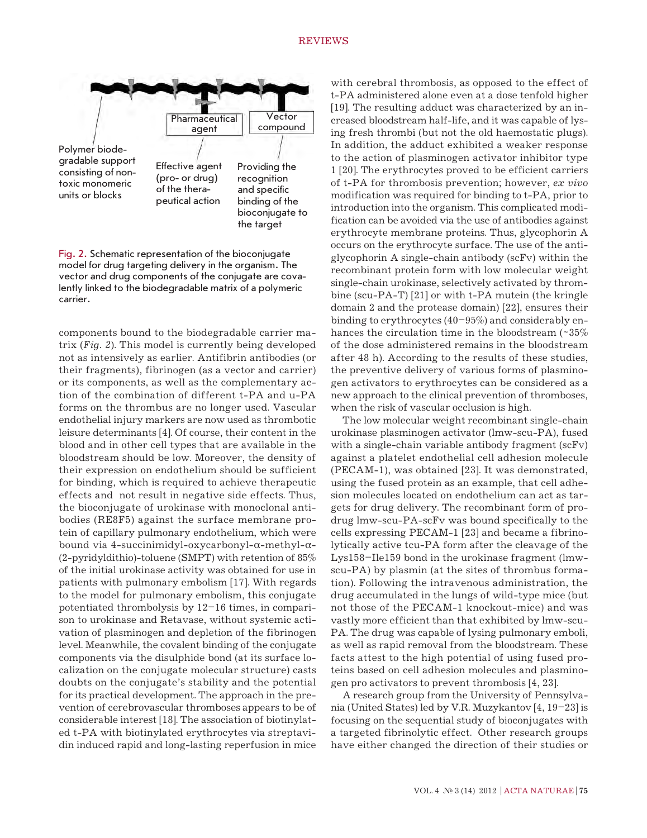

Fig. 2. Schematic representation of the bioconjugate model for drug targeting delivery in the organism. The vector and drug components of the conjugate are covalently linked to the biodegradable matrix of a polymeric carrier.

components bound to the biodegradable carrier matrix (*Fig. 2*). This model is currently being developed not as intensively as earlier. Antifibrin antibodies (or their fragments), fibrinogen (as a vector and carrier) or its components, as well as the complementary action of the combination of different t-PA and u-PA forms on the thrombus are no longer used. Vascular endothelial injury markers are now used as thrombotic leisure determinants [4]. Of course, their content in the blood and in other cell types that are available in the bloodstream should be low. Moreover, the density of their expression on endothelium should be sufficient for binding, which is required to achieve therapeutic effects and not result in negative side effects. Thus, the bioconjugate of urokinase with monoclonal antibodies (RE8F5) against the surface membrane protein of capillary pulmonary endothelium, which were bound via 4-succinimidyl-oxycarbonyl-α-methyl-α-  $(2$ -pyridyldithio)-toluene (SMPT) with retention of 85% of the initial urokinase activity was obtained for use in patients with pulmonary embolism [17]. With regards to the model for pulmonary embolism, this conjugate potentiated thrombolysis by 12–16 times, in comparison to urokinase and Retavase, without systemic activation of plasminogen and depletion of the fibrinogen level. Meanwhile, the covalent binding of the conjugate components via the disulphide bond (at its surface localization on the conjugate molecular structure) casts doubts on the conjugate's stability and the potential for its practical development. The approach in the prevention of cerebrovascular thromboses appears to be of considerable interest [18]. The association of biotinylated t-PA with biotinylated erythrocytes via streptavidin induced rapid and long-lasting reperfusion in mice

with cerebral thrombosis, as opposed to the effect of t-PA administered alone even at a dose tenfold higher [19]. The resulting adduct was characterized by an increased bloodstream half-life, and it was capable of lysing fresh thrombi (but not the old haemostatic plugs). In addition, the adduct exhibited a weaker response to the action of plasminogen activator inhibitor type 1 [20]. The erythrocytes proved to be efficient carriers of t-PA for thrombosis prevention; however, *ex vivo* modification was required for binding to t-PA, prior to introduction into the organism. This complicated modification can be avoided via the use of antibodies against erythrocyte membrane proteins. Thus, glycophorin A occurs on the erythrocyte surface. The use of the antiglycophorin A single-chain antibody (scFv) within the recombinant protein form with low molecular weight single-chain urokinase, selectively activated by thrombine (scu-PA-T) [21] or with t-PA mutein (the kringle domain 2 and the protease domain) [22], ensures their binding to erythrocytes (40–95%) and considerably enhances the circulation time in the bloodstream (~35%) of the dose administered remains in the bloodstream after 48 h). According to the results of these studies, the preventive delivery of various forms of plasminogen activators to erythrocytes can be considered as a new approach to the clinical prevention of thromboses, when the risk of vascular occlusion is high.

The low molecular weight recombinant single-chain urokinase plasminogen activator (lmw-scu-PA), fused with a single-chain variable antibody fragment (scFv) against a platelet endothelial cell adhesion molecule (PECAM-1), was obtained [23]. It was demonstrated, using the fused protein as an example, that cell adhesion molecules located on endothelium can act as targets for drug delivery. The recombinant form of prodrug lmw-scu-PA-scFv was bound specifically to the cells expressing PECAM-1 [23] and became a fibrinolytically active tcu-PA form after the cleavage of the Lys158–Ile159 bond in the urokinase fragment (lmwscu-PA) by plasmin (at the sites of thrombus formation). Following the intravenous administration, the drug accumulated in the lungs of wild-type mice (but not those of the PECAM-1 knockout-mice) and was vastly more efficient than that exhibited by lmw-scu-PA. The drug was capable of lysing pulmonary emboli, as well as rapid removal from the bloodstream. These facts attest to the high potential of using fused proteins based on cell adhesion molecules and plasminogen pro activators to prevent thrombosis [4, 23].

A research group from the University of Pennsylvania (United States) led by V.R. Muzykantov [4, 19–23] is focusing on the sequential study of bioconjugates with a targeted fibrinolytic effect. Other research groups have either changed the direction of their studies or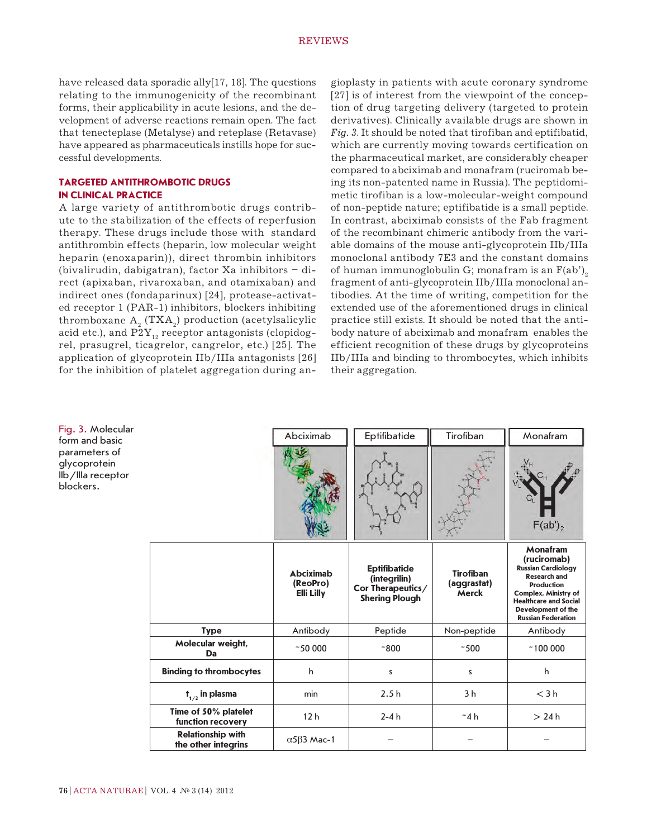have released data sporadic ally[17, 18]. The questions relating to the immunogenicity of the recombinant forms, their applicability in acute lesions, and the development of adverse reactions remain open. The fact that tenecteplase (Metalyse) and reteplase (Retavase) have appeared as pharmaceuticals instills hope for successful developments.

# **TARGETED ANTITHROMBOTIC DRUGS IN CLINICAL PRACTICE**

A large variety of antithrombotic drugs contribute to the stabilization of the effects of reperfusion therapy. These drugs include those with standard antithrombin effects (heparin, low molecular weight heparin (enoxaparin)), direct thrombin inhibitors (bivalirudin, dabigatran), factor Xa inhibitors – direct (apixaban, rivaroxaban, and otamixaban) and indirect ones (fondaparinux) [24], protease-activated receptor 1 (PAR-1) inhibitors, blockers inhibiting thromboxane  $\rm A\rm _2$  (TX $\rm A\rm _2)$  production (acetylsalicylic acid etc.), and  $P2Y_{12}$  receptor antagonists (clopidogrel, prasugrel, ticagrelor, cangrelor, etc.) [25]. The application of glycoprotein IIb/IIIa antagonists [26] for the inhibition of platelet aggregation during an-

gioplasty in patients with acute coronary syndrome [27] is of interest from the viewpoint of the conception of drug targeting delivery (targeted to protein derivatives). Clinically available drugs are shown in *Fig. 3*. It should be noted that tirofiban and eptifibatid, which are currently moving towards certification on the pharmaceutical market, are considerably cheaper compared to abciximab and monafram (ruciromab being its non-patented name in Russia). The peptidomimetic tirofiban is a low-molecular-weight compound of non-peptide nature; eptifibatide is a small peptide. In contrast, abciximab consists of the Fab fragment of the recombinant chimeric antibody from the variable domains of the mouse anti-glycoprotein IIb/IIIa monoclonal antibody 7E3 and the constant domains of human immunoglobulin G; monafram is an  $F(ab)$ <sub>s</sub> fragment of anti-glycoprotein IIb/IIIa monoclonal antibodies. At the time of writing, competition for the extended use of the aforementioned drugs in clinical practice still exists. It should be noted that the antibody nature of abciximab and monafram enables the efficient recognition of these drugs by glycoproteins IIb/IIIa and binding to thrombocytes, which inhibits their aggregation.

| Fig. 3. Molecular<br>form and basic                             |                                                 | Abciximab                                  | Eptifibatide                                                                      | Tirofiban                                | Monafram                                                                                                                                                                                                    |
|-----------------------------------------------------------------|-------------------------------------------------|--------------------------------------------|-----------------------------------------------------------------------------------|------------------------------------------|-------------------------------------------------------------------------------------------------------------------------------------------------------------------------------------------------------------|
| parameters of<br>glycoprotein<br>Ilb/Illa receptor<br>blockers. |                                                 |                                            |                                                                                   |                                          | $F(ab')_2$                                                                                                                                                                                                  |
|                                                                 |                                                 | <b>Abciximab</b><br>(ReoPro)<br>Elli Lilly | <b>Eptifibatide</b><br>(integrilin)<br>Cor Therapeutics/<br><b>Shering Plough</b> | <b>Tirofiban</b><br>(aggrastat)<br>Merck | Monafram<br>(ruciromab)<br><b>Russian Cardiology</b><br><b>Research and</b><br><b>Production</b><br>Complex, Ministry of<br><b>Healthcare and Social</b><br>Development of the<br><b>Russian Federation</b> |
|                                                                 | <b>Type</b>                                     | Antibody                                   | Peptide                                                                           | Non-peptide                              | Antibody                                                                                                                                                                                                    |
|                                                                 | Molecular weight,<br>Da                         | $-50000$                                   | $-800$                                                                            | ~500                                     | ~100000                                                                                                                                                                                                     |
|                                                                 | <b>Binding to thrombocytes</b>                  | h                                          | s                                                                                 | s                                        | h                                                                                                                                                                                                           |
|                                                                 | $t_{1/2}$ in plasma                             | min                                        | 2.5h                                                                              | 3h                                       | $<$ 3 h                                                                                                                                                                                                     |
|                                                                 | Time of 50% platelet<br>function recovery       | 12h                                        | $2-4h$                                                                            | $-4 h$                                   | >24h                                                                                                                                                                                                        |
|                                                                 | <b>Relationship with</b><br>the other integrins | $\alpha$ 5 $\beta$ 3 Mac-1                 |                                                                                   |                                          |                                                                                                                                                                                                             |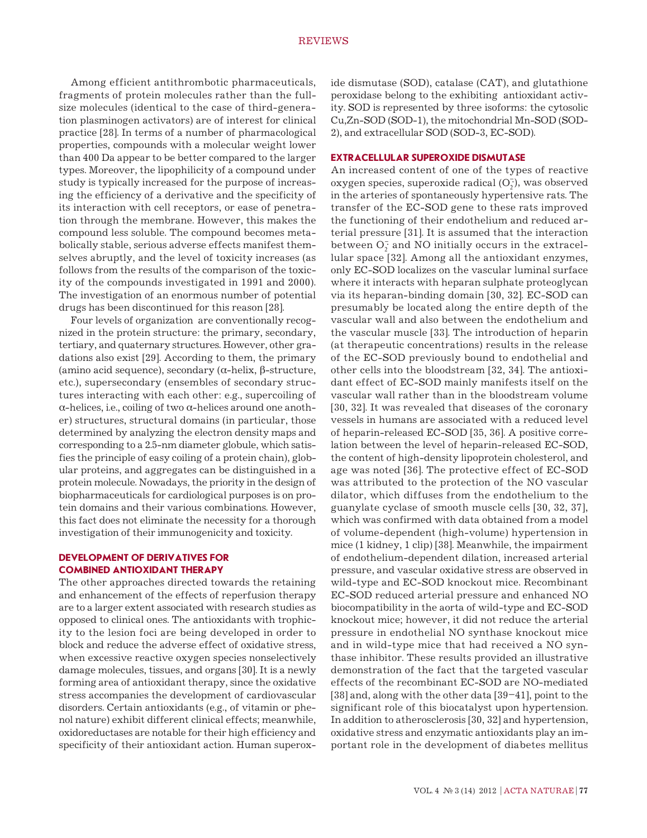Among efficient antithrombotic pharmaceuticals, fragments of protein molecules rather than the fullsize molecules (identical to the case of third-generation plasminogen activators) are of interest for clinical practice [28]. In terms of a number of pharmacological properties, compounds with a molecular weight lower than 400 Da appear to be better compared to the larger types. Moreover, the lipophilicity of a compound under study is typically increased for the purpose of increasing the efficiency of a derivative and the specificity of its interaction with cell receptors, or ease of penetration through the membrane. However, this makes the compound less soluble. The compound becomes metabolically stable, serious adverse effects manifest themselves abruptly, and the level of toxicity increases (as follows from the results of the comparison of the toxicity of the compounds investigated in 1991 and 2000). The investigation of an enormous number of potential drugs has been discontinued for this reason [28].

Four levels of organization are conventionally recognized in the protein structure: the primary, secondary, tertiary, and quaternary structures. However, other gradations also exist [29]. According to them, the primary (amino acid sequence), secondary (α-helix, β-structure, etc.), supersecondary (ensembles of secondary structures interacting with each other: e.g., supercoiling of α-helices, i.e., coiling of two α-helices around one another) structures, structural domains (in particular, those determined by analyzing the electron density maps and corresponding to a 2.5-nm diameter globule, which satisfies the principle of easy coiling of a protein chain), globular proteins, and aggregates can be distinguished in a protein molecule. Nowadays, the priority in the design of biopharmaceuticals for cardiological purposes is on protein domains and their various combinations. However, this fact does not eliminate the necessity for a thorough investigation of their immunogenicity and toxicity.

## **DEVELOPMENT OF DERIVATIVES FOR COMBINED ANTIOXIDANT THERAPY**

The other approaches directed towards the retaining and enhancement of the effects of reperfusion therapy are to a larger extent associated with research studies as opposed to clinical ones. The antioxidants with trophicity to the lesion foci are being developed in order to block and reduce the adverse effect of oxidative stress, when excessive reactive oxygen species nonselectively damage molecules, tissues, and organs [30]. It is a newly forming area of antioxidant therapy, since the oxidative stress accompanies the development of cardiovascular disorders. Certain antioxidants (e.g., of vitamin or phenol nature) exhibit different clinical effects; meanwhile, oxidoreductases are notable for their high efficiency and specificity of their antioxidant action. Human superoxide dismutase (SOD), catalase (CAT), and glutathione peroxidase belong to the exhibiting antioxidant activity. SOD is represented by three isoforms: the cytosolic Cu,Zn-SOD (SOD-1), the mitochondrial Mn-SOD (SOD-2), and extracellular SOD (SOD-3, EC-SOD).

## **EXTRACELLULAR SUPEROXIDE DISMUTASE**

An increased content of one of the types of reactive oxygen species, superoxide radical  $(O_2^-)$ , was observed in the arteries of spontaneously hypertensive rats. The transfer of the EC-SOD gene to these rats improved the functioning of their endothelium and reduced arterial pressure [31]. It is assumed that the interaction between  $O_2^-$  and NO initially occurs in the extracellular space [32]. Among all the antioxidant enzymes, only EC-SOD localizes on the vascular luminal surface where it interacts with heparan sulphate proteoglycan via its heparan-binding domain [30, 32]. EC-SOD can presumably be located along the entire depth of the vascular wall and also between the endothelium and the vascular muscle [33]. The introduction of heparin (at therapeutic concentrations) results in the release of the EC-SOD previously bound to endothelial and other cells into the bloodstream [32, 34]. The antioxidant effect of EC-SOD mainly manifests itself on the vascular wall rather than in the bloodstream volume [30, 32]. It was revealed that diseases of the coronary vessels in humans are associated with a reduced level of heparin-released EC-SOD [35, 36]. A positive correlation between the level of heparin-released EC-SOD, the content of high-density lipoprotein cholesterol, and age was noted [36]. The protective effect of EC-SOD was attributed to the protection of the NO vascular dilator, which diffuses from the endothelium to the guanylate cyclase of smooth muscle cells [30, 32, 37], which was confirmed with data obtained from a model of volume-dependent (high-volume) hypertension in mice (1 kidney, 1 clip) [38]. Meanwhile, the impairment of endothelium-dependent dilation, increased arterial pressure, and vascular oxidative stress are observed in wild-type and EC-SOD knockout mice. Recombinant EC-SOD reduced arterial pressure and enhanced NO biocompatibility in the aorta of wild-type and EC-SOD knockout mice; however, it did not reduce the arterial pressure in endothelial NO synthase knockout mice and in wild-type mice that had received a NO synthase inhibitor. These results provided an illustrative demonstration of the fact that the targeted vascular effects of the recombinant EC-SOD are NO-mediated [38] and, along with the other data [39–41], point to the significant role of this biocatalyst upon hypertension. In addition to atherosclerosis [30, 32] and hypertension, oxidative stress and enzymatic antioxidants play an important role in the development of diabetes mellitus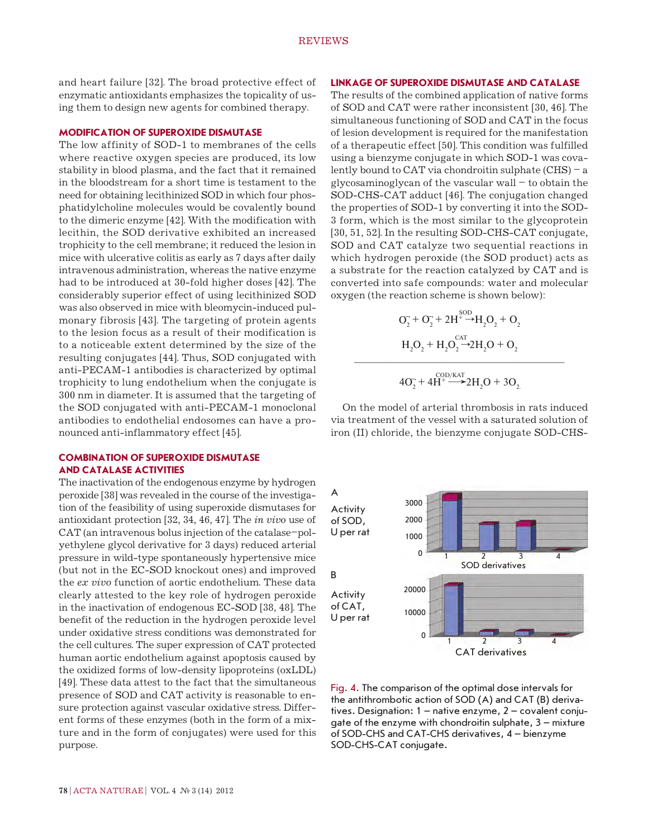and heart failure [32]. The broad protective effect of enzymatic antioxidants emphasizes the topicality of using them to design new agents for combined therapy.

### **modification of superoxide dismutase**

The low affinity of SOD-1 to membranes of the cells where reactive oxygen species are produced, its low stability in blood plasma, and the fact that it remained in the bloodstream for a short time is testament to the need for obtaining lecithinized SOD in which four phosphatidylcholine molecules would be covalently bound to the dimeric enzyme [42]. With the modification with lecithin, the SOD derivative exhibited an increased trophicity to the cell membrane; it reduced the lesion in mice with ulcerative colitis as early as 7 days after daily intravenous administration, whereas the native enzyme had to be introduced at 30-fold higher doses [42]. The considerably superior effect of using lecithinized SOD was also observed in mice with bleomycin-induced pulmonary fibrosis [43]. The targeting of protein agents to the lesion focus as a result of their modification is to a noticeable extent determined by the size of the resulting conjugates [44]. Thus, SOD conjugated with anti-PECAM-1 antibodies is characterized by optimal trophicity to lung endothelium when the conjugate is 300 nm in diameter. It is assumed that the targeting of the SOD conjugated with anti-PECAM-1 monoclonal antibodies to endothelial endosomes can have a pronounced anti-inflammatory effect [45].

## **COMBINATION OF SUPEROXIDE DISMUTASE AND CATALASE ACTIVITIES**

The inactivation of the endogenous enzyme by hydrogen peroxide [38] was revealed in the course of the investigation of the feasibility of using superoxide dismutases for antioxidant protection [32, 34, 46, 47]. The *in vivo* use of CAT (an intravenous bolus injection of the catalase–polyethylene glycol derivative for 3 days) reduced arterial pressure in wild-type spontaneously hypertensive mice (but not in the EC-SOD knockout ones) and improved the *ex vivo* function of aortic endothelium. These data clearly attested to the key role of hydrogen peroxide in the inactivation of endogenous EC-SOD [38, 48]. The benefit of the reduction in the hydrogen peroxide level under oxidative stress conditions was demonstrated for the cell cultures. The super expression of CAT protected human aortic endothelium against apoptosis caused by the oxidized forms of low-density lipoproteins (oxLDL) [49]. These data attest to the fact that the simultaneous presence of SOD and CAT activity is reasonable to ensure protection against vascular oxidative stress. Different forms of these enzymes (both in the form of a mixture and in the form of conjugates) were used for this purpose.

## **LINKAGE OF SUPEROXIDE DISMUTASE AND CATALASE**

The results of the combined application of native forms of SOD and CAT were rather inconsistent [30, 46]. The simultaneous functioning of SOD and CAT in the focus of lesion development is required for the manifestation of a therapeutic effect [50]. This condition was fulfilled using a bienzyme conjugate in which SOD-1 was covalently bound to  $CAT$  via chondroitin sulphate  $(CHS) = a$ glycosaminoglycan of the vascular wall  $-$  to obtain the SOD-CHS-CAT adduct [46]. The conjugation changed the properties of SOD-1 by converting it into the SOD-3 form, which is the most similar to the glycoprotein [30, 51, 52]. In the resulting SOD-CHS-CAT conjugate, SOD and CAT catalyze two sequential reactions in which hydrogen peroxide (the SOD product) acts as a substrate for the reaction catalyzed by CAT and is converted into safe compounds: water and molecular oxygen (the reaction scheme is shown below):

$$
O_2^+ + O_2^+ + 2H^{1} \rightarrow H_2O_2 + O_2
$$
  
\n
$$
H_2O_2 + H_2O_2 \rightarrow 2H_2O + O_2
$$
  
\n
$$
4O_2^+ + 4H^+ \rightarrow 2H_2O + 3O_2
$$

On the model of arterial thrombosis in rats induced via treatment of the vessel with a saturated solution of iron (II) chloride, the bienzyme conjugate SOD-CHS-



Fig. 4. The comparison of the optimal dose intervals for the antithrombotic action of SOD (A) and CAT (B) derivatives. Designation: 1 – native enzyme, 2 – covalent conjugate of the enzyme with chondroitin sulphate, 3 – mixture of SOD-CHS and CAT-CHS derivatives, 4 – bienzyme SOD-CHS-CAT conjugate.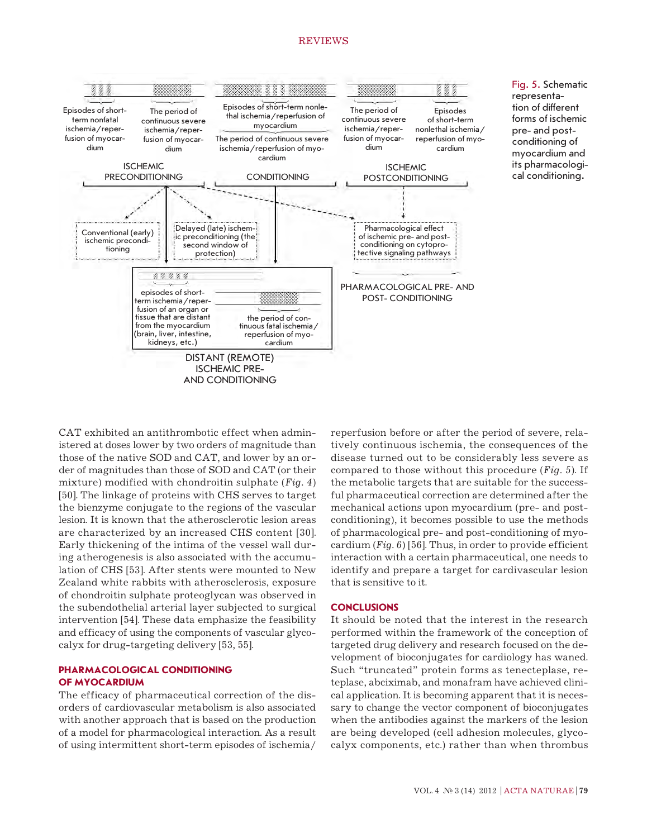## **REVIEWS**



## Fig. 5. Schematic representation of different forms of ischemic pre- and postconditioning of myocardium and its pharmacological conditioning.

CAT exhibited an antithrombotic effect when administered at doses lower by two orders of magnitude than those of the native SOD and CAT, and lower by an order of magnitudes than those of SOD and CAT (or their mixture) modified with chondroitin sulphate (*Fig. 4*) [50]. The linkage of proteins with CHS serves to target the bienzyme conjugate to the regions of the vascular lesion. It is known that the atherosclerotic lesion areas are characterized by an increased CHS content [30]. Early thickening of the intima of the vessel wall during atherogenesis is also associated with the accumulation of CHS [53]. After stents were mounted to New Zealand white rabbits with atherosclerosis, exposure of chondroitin sulphate proteoglycan was observed in the subendothelial arterial layer subjected to surgical intervention [54]. These data emphasize the feasibility and efficacy of using the components of vascular glycocalyx for drug-targeting delivery [53, 55].

# **PHARMACOLOGICAL CONDITIONING OF myocardium**

The efficacy of pharmaceutical correction of the disorders of cardiovascular metabolism is also associated with another approach that is based on the production of a model for pharmacological interaction. As a result of using intermittent short-term episodes of ischemia/

reperfusion before or after the period of severe, relatively continuous ischemia, the consequences of the disease turned out to be considerably less severe as compared to those without this procedure (*Fig. 5*). If the metabolic targets that are suitable for the successful pharmaceutical correction are determined after the mechanical actions upon myocardium (pre- and postconditioning), it becomes possible to use the methods of pharmacological pre- and post-conditioning of myocardium (*Fig. 6*) [56]. Thus, in order to provide efficient interaction with a certain pharmaceutical, one needs to identify and prepare a target for cardivascular lesion that is sensitive to it.

# **CONCLUSIONS**

It should be noted that the interest in the research performed within the framework of the conception of targeted drug delivery and research focused on the development of bioconjugates for cardiology has waned. Such "truncated" protein forms as tenecteplase, reteplase, abciximab, and monafram have achieved clinical application. It is becoming apparent that it is necessary to change the vector component of bioconjugates when the antibodies against the markers of the lesion are being developed (cell adhesion molecules, glycocalyx components, etc.) rather than when thrombus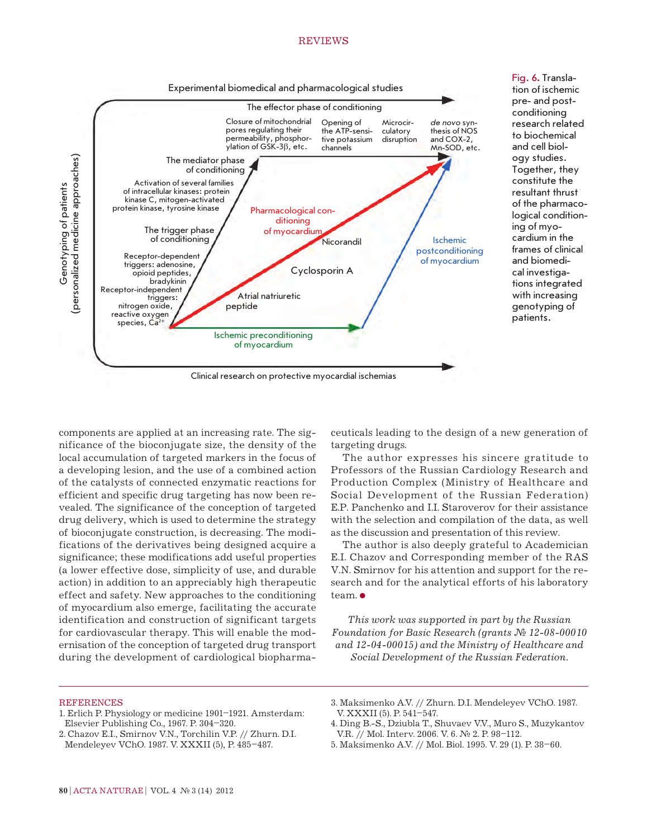#### **REVIEWS**



Fig. 6**.** Translation of ischemic pre- and postconditioning research related to biochemical and cell biology studies. Together, they constitute the resultant thrust of the pharmacological conditioning of myocardium in the frames of clinical and biomedical investigations integrated with increasing genotyping of patients.

components are applied at an increasing rate. The significance of the bioconjugate size, the density of the local accumulation of targeted markers in the focus of a developing lesion, and the use of a combined action of the catalysts of connected enzymatic reactions for efficient and specific drug targeting has now been revealed. The significance of the conception of targeted drug delivery, which is used to determine the strategy of bioconjugate construction, is decreasing. The modifications of the derivatives being designed acquire a significance; these modifications add useful properties (a lower effective dose, simplicity of use, and durable action) in addition to an appreciably high therapeutic effect and safety. New approaches to the conditioning of myocardium also emerge, facilitating the accurate identification and construction of significant targets for cardiovascular therapy. This will enable the modernisation of the conception of targeted drug transport during the development of cardiological biopharmaceuticals leading to the design of a new generation of targeting drugs.

The author expresses his sincere gratitude to Professors of the Russian Cardiology Research and Production Complex (Ministry of Healthcare and Social Development of the Russian Federation) E.P. Panchenko and I.I. Staroverov for their assistance with the selection and compilation of the data, as well as the discussion and presentation of this review.

The author is also deeply grateful to Academician E.I. Chazov and Corresponding member of the RAS V.N. Smirnov for his attention and support for the research and for the analytical efforts of his laboratory team.

*This work was supported in part by the Russian Foundation for Basic Research (grants № 12-08-00010 and 12-04-00015) and the Ministry of Healthcare and Social Development of the Russian Federation.*

#### REFERENCES

- 1. Erlich P. Physiology or medicine 1901–1921. Amsterdam: Elsevier Publishing Co., 1967. P. 304–320.
- 2. Chazov E.I., Smirnov V.N., Torchilin V.P. // Zhurn. D.I. Mendeleyev VChO. 1987. V. XXXII (5), P. 485–487.
- 3. Maksimenko A.V. // Zhurn. D.I. Mendeleyev VChO. 1987. V. XXXII (5). P. 541–547.
- 4. Ding B.-S., Dziubla T., Shuvaev V.V., Muro S., Muzykantov V.R. // Mol. Interv. 2006. V. 6. № 2. P. 98–112.
- 5. Maksimenko A.V. // Mol. Biol. 1995. V. 29 (1). P. 38–60.